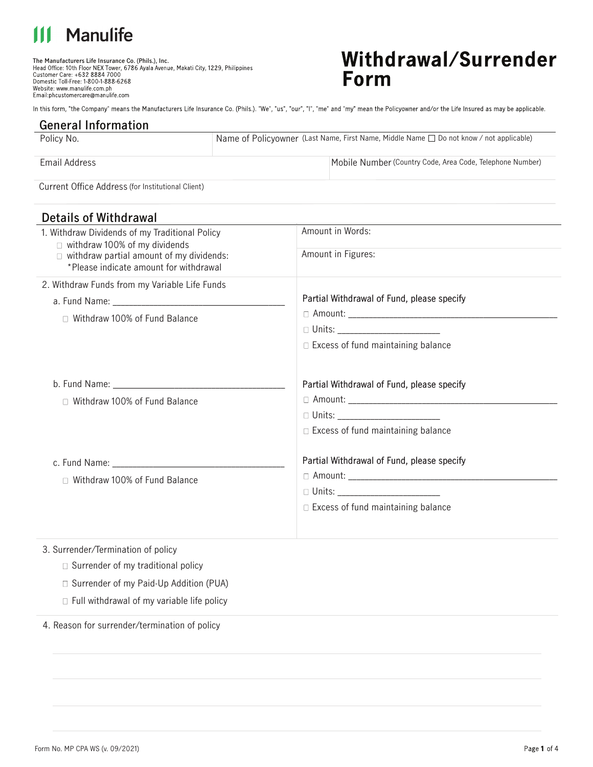# **Manulife**

**The Manufacturers Life Insurance Co. (Phils.), Inc.** Domestic Toll-Free: 1-800-1-888-6268 Website: www.manulife.com.ph<br>Email:phcustomercare@manulife.com

## Withdrawal/Surrender **Form**

In this form, "the Company" means the Manufacturers Life Insurance Co. (Phils.). "We", "us", "our", "I", "me" and "my" mean the Policyowner and/or the Life Insured as may be applicable.

| <b>General Information</b>                        |                                                                                         |                                                           |
|---------------------------------------------------|-----------------------------------------------------------------------------------------|-----------------------------------------------------------|
| Policy No.                                        | Name of Policyowner (Last Name, First Name, Middle Name □ Do not know / not applicable) |                                                           |
|                                                   |                                                                                         |                                                           |
| Email Address                                     |                                                                                         | Mobile Number (Country Code, Area Code, Telephone Number) |
|                                                   |                                                                                         |                                                           |
| Current Office Address (for Institutional Client) |                                                                                         |                                                           |

**Details of Withdrawal**

| 1. Withdraw Dividends of my Traditional Policy<br>$\Box$ withdraw 100% of my dividends<br>$\Box$ withdraw partial amount of my dividends:<br>*Please indicate amount for withdrawal | Amount in Words:<br>Amount in Figures:                                                                                 |
|-------------------------------------------------------------------------------------------------------------------------------------------------------------------------------------|------------------------------------------------------------------------------------------------------------------------|
| 2. Withdraw Funds from my Variable Life Funds<br>$\Box$ Withdraw 100% of Fund Balance                                                                                               | Partial Withdrawal of Fund, please specify<br>$\Box$ Excess of fund maintaining balance                                |
| □ Withdraw 100% of Fund Balance                                                                                                                                                     | Partial Withdrawal of Fund, please specify<br>□ Units: _________________________<br>Excess of fund maintaining balance |
| □ Withdraw 100% of Fund Balance                                                                                                                                                     | Partial Withdrawal of Fund, please specify<br>$\Box$ Excess of fund maintaining balance                                |
| 3. Surrender/Termination of policy                                                                                                                                                  |                                                                                                                        |

- $\Box$  Surrender of my traditional policy
- □ Surrender of my Paid-Up Addition (PUA)
- $\Box$  Full withdrawal of my variable life policy

4. Reason for surrender/termination of policy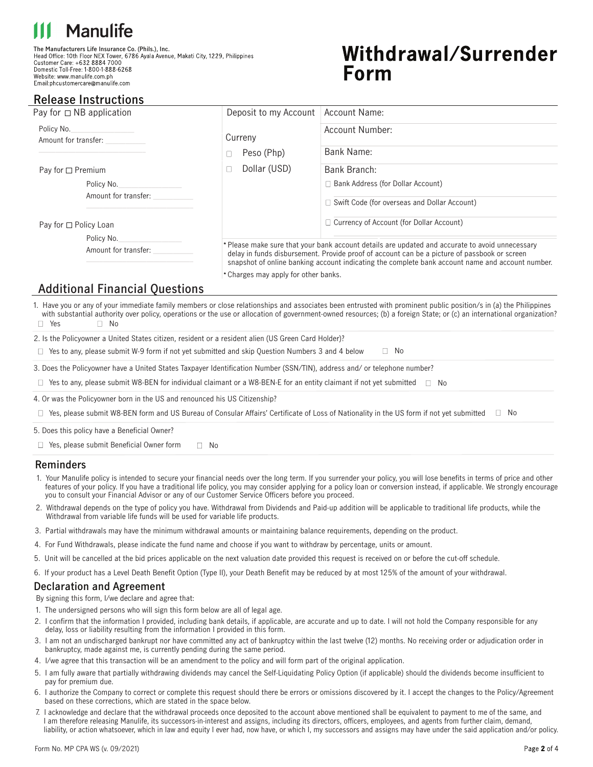# **Manulife**

**The Manufacturers Life Insurance Co. (Phils.), Inc.** Customer Care: +632 8884 7000<br>Domestic Toll-Free: 1-800-1-888-6268 Website: www.manulife.com.ph Email:phcustomercare@manulife.com

# Withdrawal/Surrender Form

### **Release Instructions**

| Pay for $\Box$ NB application                                |                                    | Deposit to my Account                | Account Name:                                                                                                                                                                                                                                                                                       |  |
|--------------------------------------------------------------|------------------------------------|--------------------------------------|-----------------------------------------------------------------------------------------------------------------------------------------------------------------------------------------------------------------------------------------------------------------------------------------------------|--|
| Policy No.<br>Amount for transfer:                           |                                    | Curreny                              | Account Number:                                                                                                                                                                                                                                                                                     |  |
|                                                              |                                    | Peso (Php)<br>П                      | Bank Name:                                                                                                                                                                                                                                                                                          |  |
| Pay for $\Box$ Premium<br>Policy No.<br>Amount for transfer: |                                    | Dollar (USD)<br>П                    | Bank Branch:                                                                                                                                                                                                                                                                                        |  |
|                                                              |                                    |                                      | $\Box$ Bank Address (for Dollar Account)<br>Swift Code (for overseas and Dollar Account)                                                                                                                                                                                                            |  |
| Pay for $\Box$ Policy Loan                                   |                                    |                                      | $\Box$ Currency of Account (for Dollar Account)                                                                                                                                                                                                                                                     |  |
|                                                              | Policy No.<br>Amount for transfer: |                                      | * Please make sure that your bank account details are updated and accurate to avoid unnecessary<br>delay in funds disbursement. Provide proof of account can be a picture of passbook or screen<br>snapshot of online banking account indicating the complete bank account name and account number. |  |
|                                                              |                                    | * Charges may apply for other banks. |                                                                                                                                                                                                                                                                                                     |  |

### **Additional Financial Questions**

1. Have you or any of your immediate family members or close relationships and associates been entrusted with prominent public position/s in (a) the Philippines with substantial authority over policy, operations or the use or allocation of government-owned resources; (b) a foreign State; or (c) an international organization?  $\Box$  Yes  $\Box$  No

2. Is the Policyowner a United States citizen, resident or a resident alien (US Green Card Holder)?

 $\Box$  Yes to any, please submit W-9 form if not yet submitted and skip Question Numbers 3 and 4 below  $\Box$  No

3. Does the Policyowner have a United States Taxpayer Identification Number (SSN/TIN), address and/ or telephone number?

Yes to any, please submit W8-BEN for individual claimant or a W8-BEN-E for an entity claimant if not yet submied No

4. Or was the Policyowner born in the US and renounced his US Citizenship?

 $\Box$  Yes, please submit W8-BEN form and US Bureau of Consular Affairs' Certificate of Loss of Nationality in the US form if not yet submitted  $\Box$  No

5. Does this policy have a Beneficial Owner?

 $\Box$  Yes, please submit Beneficial Owner form  $\Box$  No

#### **Reminders**

- 1. Your Manulife policy is intended to secure your financial needs over the long term. If you surrender your policy, you will lose benefits in terms of price and other features of your policy. If you have a traditional life policy, you may consider applying for a policy loan or conversion instead, if applicable. We strongly encourage you to consult your Financial Advisor or any of our Customer Service Officers before you proceed.
- 2. Withdrawal depends on the type of policy you have. Withdrawal from Dividends and Paid-up addition will be applicable to traditional life products, while the Withdrawal from variable life funds will be used for variable life products.
- 3. Partial withdrawals may have the minimum withdrawal amounts or maintaining balance requirements, depending on the product.
- 4. For Fund Withdrawals, please indicate the fund name and choose if you want to withdraw by percentage, units or amount.
- 5. Unit will be cancelled at the bid prices applicable on the next valuation date provided this request is received on or before the cut-off schedule.
- 6. If your product has a Level Death Benefit Option (Type II), your Death Benefit may be reduced by at most 125% of the amount of your withdrawal.

#### **Declaration and Agreement**

By signing this form, I/we declare and agree that:

- 1. The undersigned persons who will sign this form below are all of legal age.
- 2. I confirm that the information I provided, including bank details, if applicable, are accurate and up to date. I will not hold the Company responsible for any delay, loss or liability resulting from the information I provided in this form.
- 3. I am not an undischarged bankrupt nor have committed any act of bankruptcy within the last twelve (12) months. No receiving order or adjudication order in bankruptcy, made against me, is currently pending during the same period.
- 4. I/we agree that this transaction will be an amendment to the policy and will form part of the original application.
- 5. I am fully aware that partially withdrawing dividends may cancel the Self-Liquidating Policy Option (if applicable) should the dividends become insucient to pay for premium due.
- 6. I authorize the Company to correct or complete this request should there be errors or omissions discovered by it. I accept the changes to the Policy/Agreement based on these corrections, which are stated in the space below.
- 7. I acknowledge and declare that the withdrawal proceeds once deposited to the account above mentioned shall be equivalent to payment to me of the same, and I am therefore releasing Manulife, its successors-in-interest and assigns, including its directors, officers, employees, and agents from further claim, demand, liability, or action whatsoever, which in law and equity I ever had, now have, or which I, my successors and assigns may have under the said application and/or policy.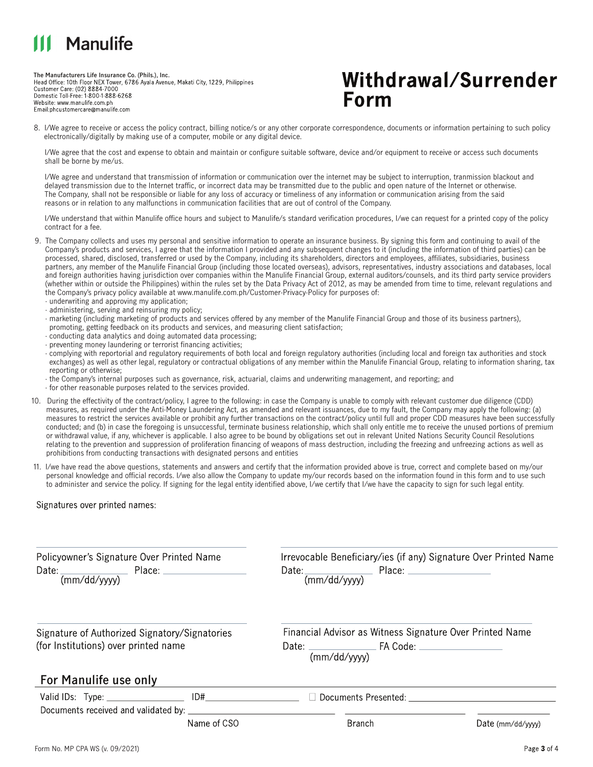# Manulife

**The Manufacturers Life Insurance Co. (Phils.), Inc.** Customer Care: (02) 8884-7000<br>Domestic Toll-Free: 1-800-1-888-6268 Website: www.manulife.com.ph Email:phcustomercare@manulife.com

## Withdrawal/Surrender **Form**

8. I/We agree to receive or access the policy contract, billing notice/s or any other corporate correspondence, documents or information pertaining to such policy electronically/digitally by making use of a computer, mobile or any digital device.

I/We agree that the cost and expense to obtain and maintain or configure suitable software, device and/or equipment to receive or access such documents shall be borne by me/us.

I/We agree and understand that transmission of information or communication over the internet may be subject to interruption, tranmission blackout and delayed transmission due to the Internet traffic, or incorrect data may be transmitted due to the public and open nature of the Internet or otherwise. The Company, shall not be responsible or liable for any loss of accuracy or timeliness of any information or communication arising from the said reasons or in relation to any malfunctions in communication facilities that are out of control of the Company.

I/We understand that within Manulife office hours and subject to Manulife/s standard verification procedures, I/we can request for a printed copy of the policy contract for a fee.

- 9. The Company collects and uses my personal and sensitive information to operate an insurance business. By signing this form and continuing to avail of the Company's products and services, I agree that the information I provided and any subsequent changes to it (including the information of third parties) can be processed, shared, disclosed, transferred or used by the Company, including its shareholders, directors and employees, affiliates, subsidiaries, business partners, any member of the Manulife Financial Group (including those located overseas), advisors, representatives, industry associations and databases, local and foreign authorities having jurisdiction over companies within the Manulife Financial Group, external auditors/counsels, and its third party service providers (whether within or outside the Philippines) within the rules set by the Data Privacy Act of 2012, as may be amended from time to time, relevant regulations and the Company's privacy policy available at www.manulife.com.ph/Customer-Privacy-Policy for purposes of:
	- · underwriting and approving my application;
	- · administering, serving and reinsuring my policy;
	- · marketing (including marketing of products and services offered by any member of the Manulife Financial Group and those of its business partners), promoting, getting feedback on its products and services, and measuring client satisfaction;
	- · conducting data analytics and doing automated data processing;
	- $\cdot$  preventing money laundering or terrorist financing activities;
	- · complying with reportorial and regulatory requirements of both local and foreign regulatory authorities (including local and foreign tax authorities and stock exchanges) as well as other legal, regulatory or contractual obligations of any member within the Manulife Financial Group, relating to information sharing, tax reporting or otherwise;
	- · the Company's internal purposes such as governance, risk, actuarial, claims and underwriting management, and reporting; and · for other reasonable purposes related to the services provided.
- 10. During the effectivity of the contract/policy, I agree to the following: in case the Company is unable to comply with relevant customer due diligence (CDD) measures, as required under the Anti-Money Laundering Act, as amended and relevant issuances, due to my fault, the Company may apply the following: (a) measures to restrict the services available or prohibit any further transactions on the contract/policy until full and proper CDD measures have been successfully conducted; and (b) in case the foregoing is unsuccessful, terminate business relationship, which shall only entitle me to receive the unused portions of premium or withdrawal value, if any, whichever is applicable. I also agree to be bound by obligations set out in relevant United Nations Security Council Resolutions relating to the prevention and suppression of proliferation financing of weapons of mass destruction, including the freezing and unfreezing actions as well as prohibitions from conducting transactions with designated persons and entities
- 11. I/we have read the above questions, statements and answers and certify that the information provided above is true, correct and complete based on my/our personal knowledge and official records. I/we also allow the Company to update my/our records based on the information found in this form and to use such to administer and service the policy. If signing for the legal entity identified above, I/we certify that I/we have the capacity to sign for such legal entity.

Signatures over printed names:

| Policyowner's Signature Over Printed Name<br>Date: $\frac{1}{(mm/dd/yyyy)}$ Place: $\frac{1}{(mm/dd/yyyy)}$<br>Signature of Authorized Signatory/Signatories<br>(for Institutions) over printed name |             | Irrevocable Beneficiary/ies (if any) Signature Over Printed Name<br>Financial Advisor as Witness Signature Over Printed Name<br>(mm/dd/vyyy) |                   |  |
|------------------------------------------------------------------------------------------------------------------------------------------------------------------------------------------------------|-------------|----------------------------------------------------------------------------------------------------------------------------------------------|-------------------|--|
|                                                                                                                                                                                                      |             |                                                                                                                                              |                   |  |
| Documents received and validated by: ______________                                                                                                                                                  |             | Documents Presented: www.port.com                                                                                                            |                   |  |
|                                                                                                                                                                                                      | Name of CSO | Branch                                                                                                                                       | Date (mm/dd/vvvv) |  |